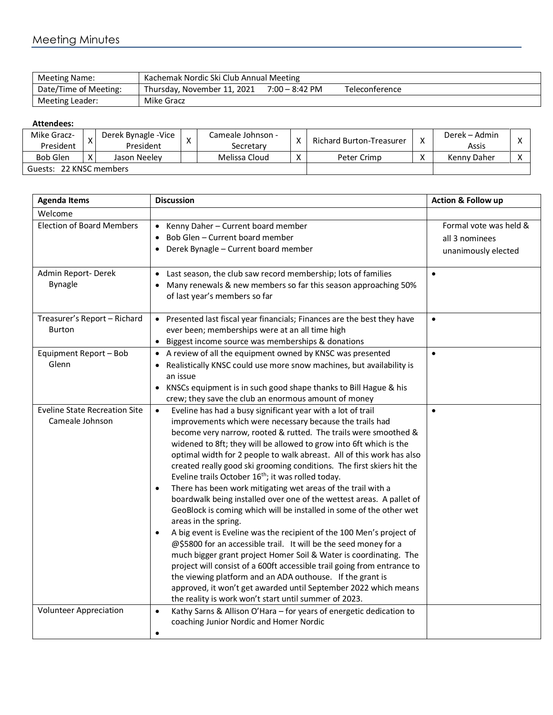## Meeting Minutes

| Meeting Name:         | Kachemak Nordic Ski Club Annual Meeting |                          |                |  |  |  |
|-----------------------|-----------------------------------------|--------------------------|----------------|--|--|--|
| Date/Time of Meeting: | Thursday, November 11, 2021             | $7:00 - 8:42 \text{ PM}$ | Teleconference |  |  |  |
| Meeting Leader:       | Mike Gracz                              |                          |                |  |  |  |

## **Attendees:**

| Mike Gracz-<br>President   |   | Derek Bynagle - Vice<br>President | $\checkmark$ | Cameale Johnson -<br>Secretarv | Χ                         | Richard Burton-Treasurer |           | Derek – Admin<br>Assis |  |
|----------------------------|---|-----------------------------------|--------------|--------------------------------|---------------------------|--------------------------|-----------|------------------------|--|
| <b>Bob Glen</b>            | v | Jason Neelev                      |              | Melissa Cloud                  | $\checkmark$<br>$\Lambda$ | Peter Crimp              | $\lambda$ | Kenny Daher            |  |
| 22 KNSC members<br>Guests: |   |                                   |              |                                |                           |                          |           |                        |  |

| <b>Agenda Items</b>                                     | <b>Discussion</b>                                                                                                                                                                                                                                                                                                                                                                                                                                                                                                                                                                                                                                                                                                                                                                                                                                                                                                                                                                                                                                                                                                                                                                                                                                       | Action & Follow up                                              |
|---------------------------------------------------------|---------------------------------------------------------------------------------------------------------------------------------------------------------------------------------------------------------------------------------------------------------------------------------------------------------------------------------------------------------------------------------------------------------------------------------------------------------------------------------------------------------------------------------------------------------------------------------------------------------------------------------------------------------------------------------------------------------------------------------------------------------------------------------------------------------------------------------------------------------------------------------------------------------------------------------------------------------------------------------------------------------------------------------------------------------------------------------------------------------------------------------------------------------------------------------------------------------------------------------------------------------|-----------------------------------------------------------------|
| Welcome                                                 |                                                                                                                                                                                                                                                                                                                                                                                                                                                                                                                                                                                                                                                                                                                                                                                                                                                                                                                                                                                                                                                                                                                                                                                                                                                         |                                                                 |
| <b>Election of Board Members</b>                        | • Kenny Daher - Current board member<br>Bob Glen - Current board member<br>$\bullet$<br>Derek Bynagle - Current board member<br>$\bullet$                                                                                                                                                                                                                                                                                                                                                                                                                                                                                                                                                                                                                                                                                                                                                                                                                                                                                                                                                                                                                                                                                                               | Formal vote was held &<br>all 3 nominees<br>unanimously elected |
| Admin Report-Derek<br><b>Bynagle</b>                    | Last season, the club saw record membership; lots of families<br>$\bullet$<br>Many renewals & new members so far this season approaching 50%<br>$\bullet$<br>of last year's members so far                                                                                                                                                                                                                                                                                                                                                                                                                                                                                                                                                                                                                                                                                                                                                                                                                                                                                                                                                                                                                                                              | $\bullet$                                                       |
| Treasurer's Report - Richard<br>Burton                  | • Presented last fiscal year financials; Finances are the best they have<br>ever been; memberships were at an all time high<br>Biggest income source was memberships & donations<br>$\bullet$                                                                                                                                                                                                                                                                                                                                                                                                                                                                                                                                                                                                                                                                                                                                                                                                                                                                                                                                                                                                                                                           | $\bullet$                                                       |
| Equipment Report - Bob<br>Glenn                         | A review of all the equipment owned by KNSC was presented<br>Realistically KNSC could use more snow machines, but availability is<br>an issue<br>KNSCs equipment is in such good shape thanks to Bill Hague & his<br>crew; they save the club an enormous amount of money                                                                                                                                                                                                                                                                                                                                                                                                                                                                                                                                                                                                                                                                                                                                                                                                                                                                                                                                                                               | $\bullet$                                                       |
| <b>Eveline State Recreation Site</b><br>Cameale Johnson | Eveline has had a busy significant year with a lot of trail<br>$\bullet$<br>improvements which were necessary because the trails had<br>become very narrow, rooted & rutted. The trails were smoothed &<br>widened to 8ft; they will be allowed to grow into 6ft which is the<br>optimal width for 2 people to walk abreast. All of this work has also<br>created really good ski grooming conditions. The first skiers hit the<br>Eveline trails October 16 <sup>th</sup> ; it was rolled today.<br>There has been work mitigating wet areas of the trail with a<br>$\bullet$<br>boardwalk being installed over one of the wettest areas. A pallet of<br>GeoBlock is coming which will be installed in some of the other wet<br>areas in the spring.<br>A big event is Eveline was the recipient of the 100 Men's project of<br>$\bullet$<br>@\$5800 for an accessible trail. It will be the seed money for a<br>much bigger grant project Homer Soil & Water is coordinating. The<br>project will consist of a 600ft accessible trail going from entrance to<br>the viewing platform and an ADA outhouse. If the grant is<br>approved, it won't get awarded until September 2022 which means<br>the reality is work won't start until summer of 2023. | $\bullet$                                                       |
| <b>Volunteer Appreciation</b>                           | Kathy Sarns & Allison O'Hara - for years of energetic dedication to<br>$\bullet$<br>coaching Junior Nordic and Homer Nordic<br>٠                                                                                                                                                                                                                                                                                                                                                                                                                                                                                                                                                                                                                                                                                                                                                                                                                                                                                                                                                                                                                                                                                                                        |                                                                 |